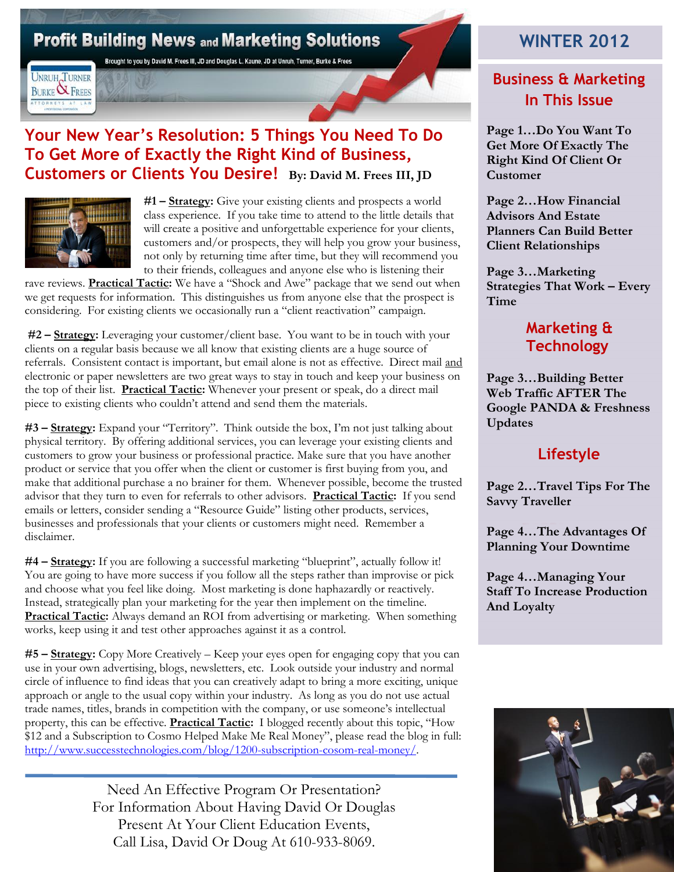## **Profit Building News and Marketing Solutions**

Brought to you by David M. Frees III, JD and Douglas L. Kaune, JD at Unruh, Turner, Burke & Frees

**UNRUH TURNER BURKE & FREES** ATTORNEYS AT LA

#### **Your New Year's Resolution: 5 Things You Need To Do To Get More of Exactly the Right Kind of Business, Customers or Clients You Desire! By: David M. Frees III, JD**



**#1 – Strategy:** Give your existing clients and prospects a world class experience. If you take time to attend to the little details that will create a positive and unforgettable experience for your clients, customers and/or prospects, they will help you grow your business, not only by returning time after time, but they will recommend you to their friends, colleagues and anyone else who is listening their

rave reviews. **Practical Tactic:** We have a "Shock and Awe" package that we send out when we get requests for information. This distinguishes us from anyone else that the prospect is considering. For existing clients we occasionally run a "client reactivation" campaign.

**#2 – Strategy:** Leveraging your customer/client base. You want to be in touch with your clients on a regular basis because we all know that existing clients are a huge source of referrals. Consistent contact is important, but email alone is not as effective. Direct mail and electronic or paper newsletters are two great ways to stay in touch and keep your business on the top of their list. **Practical Tactic:** Whenever your present or speak, do a direct mail piece to existing clients who couldn't attend and send them the materials.

**#3 – Strategy:** Expand your "Territory". Think outside the box, I'm not just talking about physical territory. By offering additional services, you can leverage your existing clients and customers to grow your business or professional practice. Make sure that you have another product or service that you offer when the client or customer is first buying from you, and make that additional purchase a no brainer for them. Whenever possible, become the trusted advisor that they turn to even for referrals to other advisors. **Practical Tactic:** If you send emails or letters, consider sending a "Resource Guide" listing other products, services, businesses and professionals that your clients or customers might need. Remember a disclaimer.

**#4 – Strategy:** If you are following a successful marketing "blueprint", actually follow it! You are going to have more success if you follow all the steps rather than improvise or pick and choose what you feel like doing. Most marketing is done haphazardly or reactively. Instead, strategically plan your marketing for the year then implement on the timeline. **Practical Tactic:** Always demand an ROI from advertising or marketing. When something works, keep using it and test other approaches against it as a control.

**#5 – Strategy:** Copy More Creatively – Keep your eyes open for engaging copy that you can use in your own advertising, blogs, newsletters, etc. Look outside your industry and normal circle of influence to find ideas that you can creatively adapt to bring a more exciting, unique approach or angle to the usual copy within your industry. As long as you do not use actual trade names, titles, brands in competition with the company, or use someone's intellectual property, this can be effective. **Practical Tactic:** I blogged recently about this topic, "How \$12 and a Subscription to Cosmo Helped Make Me Real Money", please read the blog in full: [http://www.successtechnologies.com/blog/1200-subscription-cosom-real-money/.](http://www.successtechnologies.com/blog/1200-subscription-cosom-real-money/)

> Need An Effective Program Or Presentation? For Information About Having David Or Douglas Present At Your Client Education Events, Call Lisa, David Or Doug At 610-933-8069.

## **WINTER 2012**

### **Business & Marketing In This Issue**

**Page 1…Do You Want To Get More Of Exactly The Right Kind Of Client Or Customer**

**Page 2…How Financial Advisors And Estate Planners Can Build Better Client Relationships**

**Page 3…Marketing Strategies That Work – Every Time**

#### **Marketing & Technology**

**Page 3…Building Better Web Traffic AFTER The Google PANDA & Freshness Updates**

### **Lifestyle**

**Page 2…Travel Tips For The Savvy Traveller**

**Page 4…The Advantages Of Planning Your Downtime**

**Page 4…Managing Your Staff To Increase Production And Loyalty**

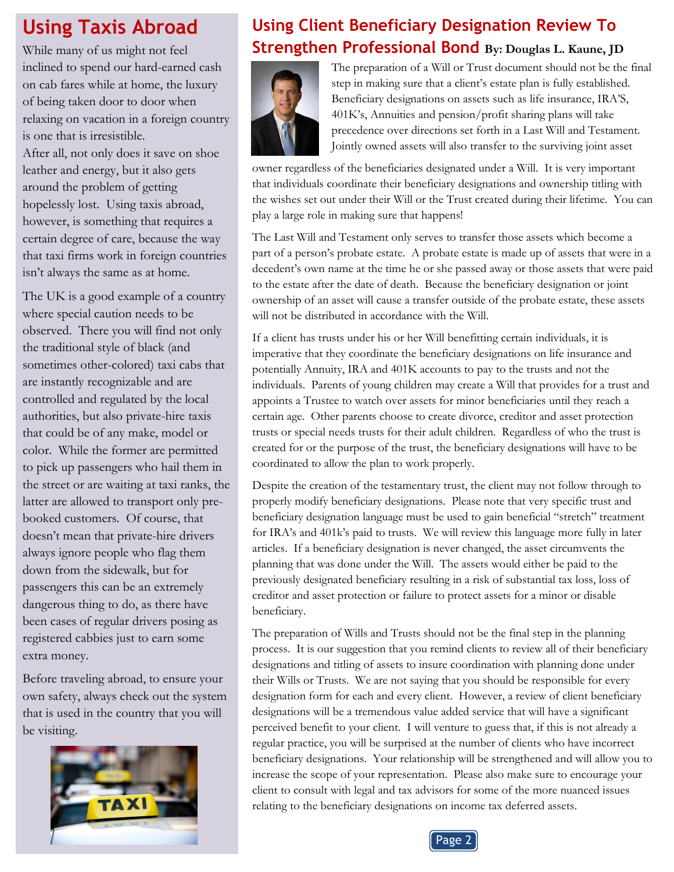# **Using Taxis Abroad**

While many of us might not feel inclined to spend our hard-earned cash on cab fares while at home, the luxury of being taken door to door when relaxing on vacation in a foreign country is one that is irresistible.

After all, not only does it save on shoe leather and energy, but it also gets around the problem of getting hopelessly lost. Using taxis abroad, however, is something that requires a certain degree of care, because the way that taxi firms work in foreign countries isn't always the same as at home.

The UK is a good example of a country where special caution needs to be observed. There you will find not only the traditional style of black (and sometimes other-colored) taxi cabs that are instantly recognizable and are controlled and regulated by the local authorities, but also private-hire taxis that could be of any make, model or color. While the former are permitted to pick up passengers who hail them in the street or are waiting at taxi ranks, the latter are allowed to transport only prebooked customers. Of course, that doesn't mean that private-hire drivers always ignore people who flag them down from the sidewalk, but for passengers this can be an extremely dangerous thing to do, as there have been cases of regular drivers posing as registered cabbies just to earn some extra money.

Before traveling abroad, to ensure your own safety, always check out the system that is used in the country that you will be visiting.



## **Using Client Beneficiary Designation Review To Strengthen Professional Bond By: Douglas L. Kaune, JD**



The preparation of a Will or Trust document should not be the final step in making sure that a client's estate plan is fully established. Beneficiary designations on assets such as life insurance, IRA'S, 401K's, Annuities and pension/profit sharing plans will take precedence over directions set forth in a Last Will and Testament. Jointly owned assets will also transfer to the surviving joint asset

owner regardless of the beneficiaries designated under a Will. It is very important that individuals coordinate their beneficiary designations and ownership titling with the wishes set out under their Will or the Trust created during their lifetime. You can play a large role in making sure that happens!

The Last Will and Testament only serves to transfer those assets which become a part of a person's probate estate. A probate estate is made up of assets that were in a decedent's own name at the time he or she passed away or those assets that were paid to the estate after the date of death. Because the beneficiary designation or joint ownership of an asset will cause a transfer outside of the probate estate, these assets will not be distributed in accordance with the Will.

If a client has trusts under his or her Will benefitting certain individuals, it is imperative that they coordinate the beneficiary designations on life insurance and potentially Annuity, IRA and 401K accounts to pay to the trusts and not the individuals. Parents of young children may create a Will that provides for a trust and appoints a Trustee to watch over assets for minor beneficiaries until they reach a certain age. Other parents choose to create divorce, creditor and asset protection trusts or special needs trusts for their adult children. Regardless of who the trust is created for or the purpose of the trust, the beneficiary designations will have to be coordinated to allow the plan to work properly.

Despite the creation of the testamentary trust, the client may not follow through to properly modify beneficiary designations. Please note that very specific trust and beneficiary designation language must be used to gain beneficial "stretch" treatment for IRA's and 401k's paid to trusts. We will review this language more fully in later articles. If a beneficiary designation is never changed, the asset circumvents the planning that was done under the Will. The assets would either be paid to the previously designated beneficiary resulting in a risk of substantial tax loss, loss of creditor and asset protection or failure to protect assets for a minor or disable beneficiary.

The preparation of Wills and Trusts should not be the final step in the planning process. It is our suggestion that you remind clients to review all of their beneficiary designations and titling of assets to insure coordination with planning done under their Wills or Trusts. We are not saying that you should be responsible for every designation form for each and every client. However, a review of client beneficiary designations will be a tremendous value added service that will have a significant perceived benefit to your client. I will venture to guess that, if this is not already a regular practice, you will be surprised at the number of clients who have incorrect beneficiary designations. Your relationship will be strengthened and will allow you to increase the scope of your representation. Please also make sure to encourage your client to consult with legal and tax advisors for some of the more nuanced issues relating to the beneficiary designations on income tax deferred assets.

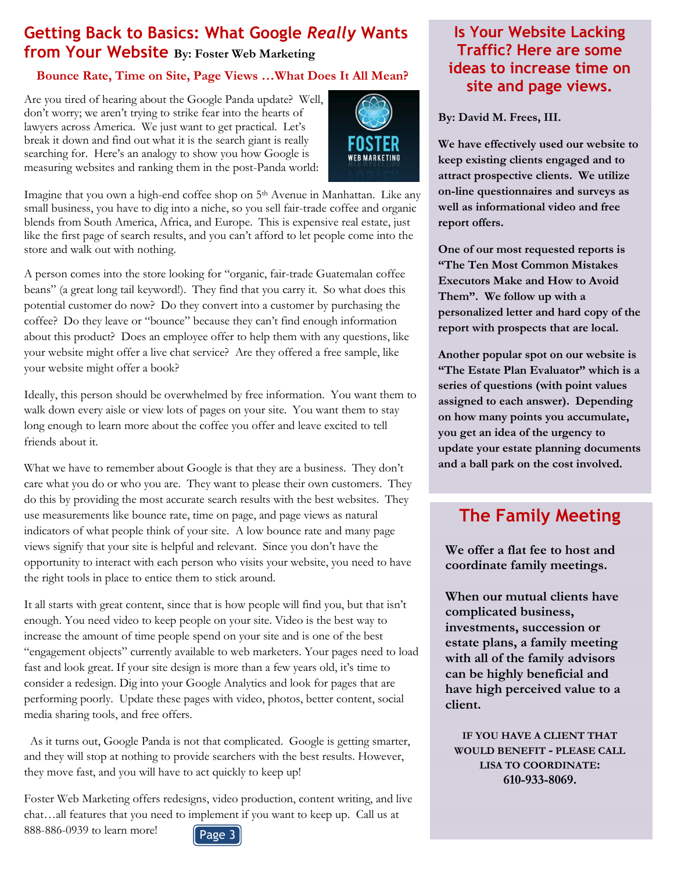#### **Getting Back to Basics: What Google** *Really* **Wants from Your Website By: Foster Web Marketing**

#### **Bounce Rate, Time on Site, Page Views …What Does It All Mean?**

Are you tired of hearing about the Google Panda update? Well, don't worry; we aren't trying to strike fear into the hearts of lawyers across America. We just want to get practical. Let's break it down and find out what it is the search giant is really searching for. Here's an analogy to show you how Google is measuring websites and ranking them in the post-Panda world:



Imagine that you own a high-end coffee shop on 5th Avenue in Manhattan. Like any small business, you have to dig into a niche, so you sell fair-trade coffee and organic blends from South America, Africa, and Europe. This is expensive real estate, just like the first page of search results, and you can't afford to let people come into the store and walk out with nothing.

A person comes into the store looking for "organic, fair-trade Guatemalan coffee beans" (a great long tail keyword!). They find that you carry it. So what does this potential customer do now? Do they convert into a customer by purchasing the coffee? Do they leave or "bounce" because they can't find enough information about this product? Does an employee offer to help them with any questions, like your website might offer a live chat service? Are they offered a free sample, like your website might offer a book?

Ideally, this person should be overwhelmed by free information. You want them to walk down every aisle or view lots of pages on your site. You want them to stay long enough to learn more about the coffee you offer and leave excited to tell friends about it.

What we have to remember about Google is that they are a business. They don't care what you do or who you are. They want to please their own customers. They do this by providing the most accurate search results with the best websites. They use measurements like bounce rate, time on page, and page views as natural indicators of what people think of your site. A low bounce rate and many page views signify that your site is helpful and relevant. Since you don't have the opportunity to interact with each person who visits your website, you need to have the right tools in place to entice them to stick around.

It all starts with great content, since that is how people will find you, but that isn't enough. You need video to keep people on your site. Video is the best way to increase the amount of time people spend on your site and is one of the best "engagement objects" currently available to web marketers. Your pages need to load fast and look great. If your site design is more than a few years old, it's time to consider a redesign. Dig into your Google Analytics and look for pages that are performing poorly. Update these pages with video, photos, better content, social media sharing tools, and free offers.

 As it turns out, Google Panda is not that complicated. Google is getting smarter, and they will stop at nothing to provide searchers with the best results. However, they move fast, and you will have to act quickly to keep up!

Foster Web Marketing offers redesigns, video production, content writing, and live chat…all features that you need to implement if you want to keep up. Call us at 888-886-0939 to learn more!

#### **Is Your Website Lacking Traffic? Here are some ideas to increase time on site and page views.**

**By: David M. Frees, III.**

**We have effectively used our website to keep existing clients engaged and to attract prospective clients. We utilize on-line questionnaires and surveys as well as informational video and free report offers.** 

**One of our most requested reports is "The Ten Most Common Mistakes Executors Make and How to Avoid Them". We follow up with a personalized letter and hard copy of the report with prospects that are local.** 

**Another popular spot on our website is "The Estate Plan Evaluator" which is a series of questions (with point values assigned to each answer). Depending on how many points you accumulate, you get an idea of the urgency to update your estate planning documents and a ball park on the cost involved.** 

### **The Family Meeting**

**We offer a flat fee to host and coordinate family meetings.** 

**When our mutual clients have complicated business, investments, succession or estate plans, a family meeting with all of the family advisors can be highly beneficial and have high perceived value to a client.**

**IF YOU HAVE A CLIENT THAT WOULD BENEFIT - PLEASE CALL LISA TO COORDINATE: 610-933-8069.**